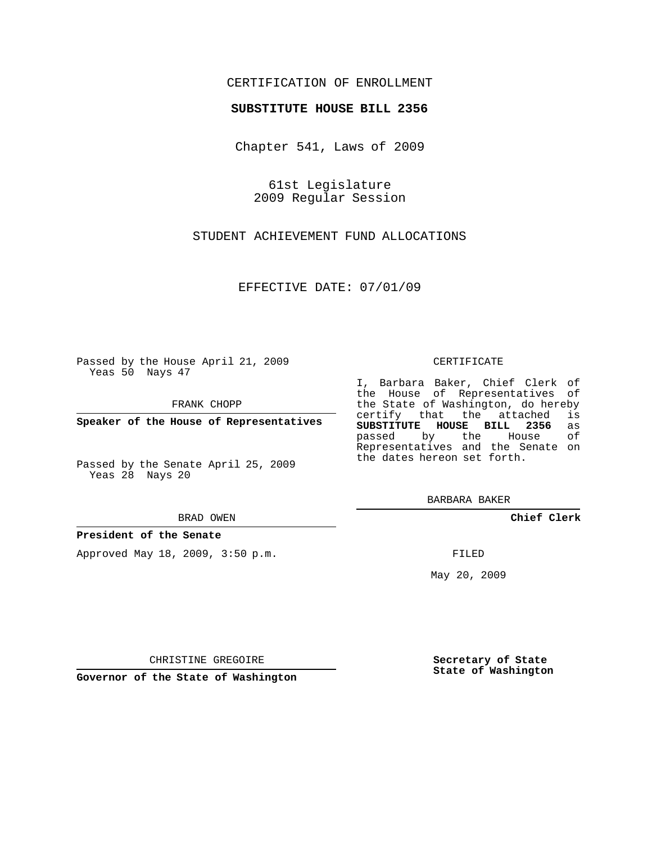## CERTIFICATION OF ENROLLMENT

### **SUBSTITUTE HOUSE BILL 2356**

Chapter 541, Laws of 2009

61st Legislature 2009 Regular Session

STUDENT ACHIEVEMENT FUND ALLOCATIONS

EFFECTIVE DATE: 07/01/09

Passed by the House April 21, 2009 Yeas 50 Nays 47

FRANK CHOPP

**Speaker of the House of Representatives**

Passed by the Senate April 25, 2009 Yeas 28 Nays 20

#### BRAD OWEN

## **President of the Senate**

Approved May 18, 2009, 3:50 p.m.

#### CERTIFICATE

I, Barbara Baker, Chief Clerk of the House of Representatives of the State of Washington, do hereby<br>certify that the attached is certify that the attached **SUBSTITUTE HOUSE BILL 2356** as passed by the Representatives and the Senate on the dates hereon set forth.

BARBARA BAKER

**Chief Clerk**

FILED

May 20, 2009

**Secretary of State State of Washington**

CHRISTINE GREGOIRE

**Governor of the State of Washington**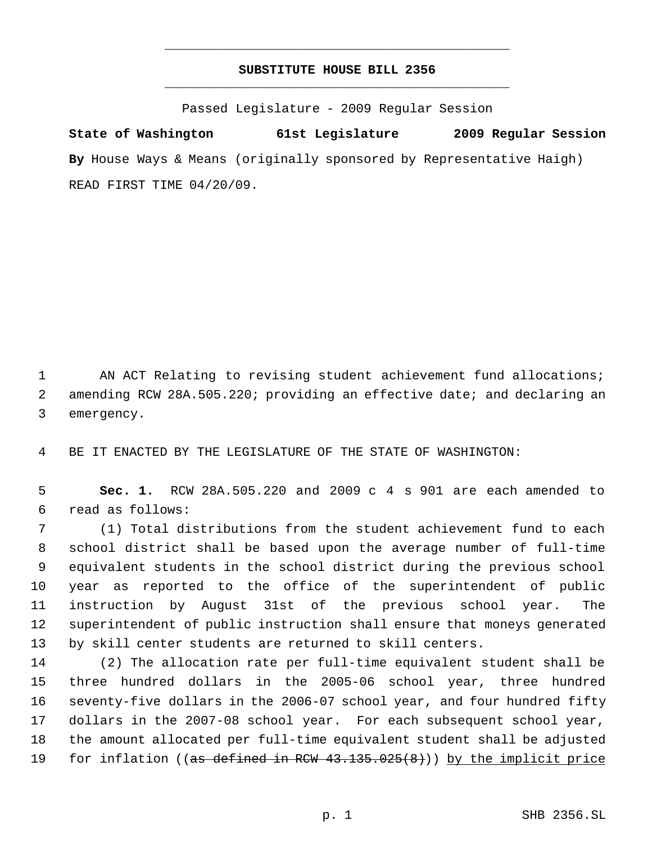# **SUBSTITUTE HOUSE BILL 2356** \_\_\_\_\_\_\_\_\_\_\_\_\_\_\_\_\_\_\_\_\_\_\_\_\_\_\_\_\_\_\_\_\_\_\_\_\_\_\_\_\_\_\_\_\_

\_\_\_\_\_\_\_\_\_\_\_\_\_\_\_\_\_\_\_\_\_\_\_\_\_\_\_\_\_\_\_\_\_\_\_\_\_\_\_\_\_\_\_\_\_

Passed Legislature - 2009 Regular Session

**State of Washington 61st Legislature 2009 Regular Session By** House Ways & Means (originally sponsored by Representative Haigh) READ FIRST TIME 04/20/09.

 AN ACT Relating to revising student achievement fund allocations; amending RCW 28A.505.220; providing an effective date; and declaring an emergency.

BE IT ENACTED BY THE LEGISLATURE OF THE STATE OF WASHINGTON:

 **Sec. 1.** RCW 28A.505.220 and 2009 c 4 s 901 are each amended to read as follows:

 (1) Total distributions from the student achievement fund to each school district shall be based upon the average number of full-time equivalent students in the school district during the previous school year as reported to the office of the superintendent of public instruction by August 31st of the previous school year. The superintendent of public instruction shall ensure that moneys generated by skill center students are returned to skill centers.

 (2) The allocation rate per full-time equivalent student shall be three hundred dollars in the 2005-06 school year, three hundred seventy-five dollars in the 2006-07 school year, and four hundred fifty dollars in the 2007-08 school year. For each subsequent school year, the amount allocated per full-time equivalent student shall be adjusted 19 for inflation ((as defined in RCW 43.135.025(8))) by the implicit price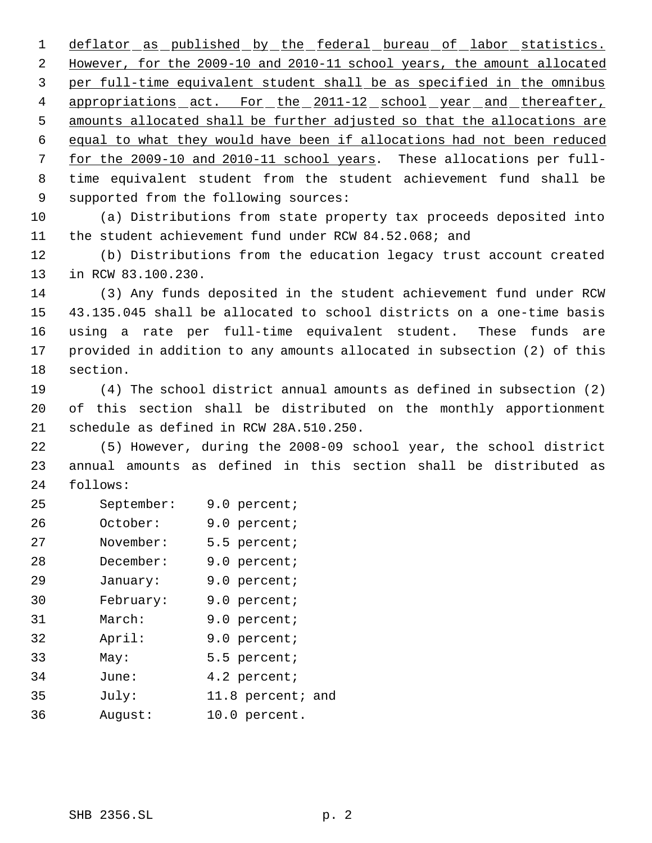1 deflator as published by the federal bureau of labor statistics. However, for the 2009-10 and 2010-11 school years, the amount allocated per full-time equivalent student shall be as specified in the omnibus 4 appropriations act. For the 2011-12 school year and thereafter, amounts allocated shall be further adjusted so that the allocations are equal to what they would have been if allocations had not been reduced for the 2009-10 and 2010-11 school years. These allocations per full- time equivalent student from the student achievement fund shall be supported from the following sources:

 (a) Distributions from state property tax proceeds deposited into the student achievement fund under RCW 84.52.068; and

 (b) Distributions from the education legacy trust account created in RCW 83.100.230.

 (3) Any funds deposited in the student achievement fund under RCW 43.135.045 shall be allocated to school districts on a one-time basis using a rate per full-time equivalent student. These funds are provided in addition to any amounts allocated in subsection (2) of this section.

 (4) The school district annual amounts as defined in subsection (2) of this section shall be distributed on the monthly apportionment schedule as defined in RCW 28A.510.250.

 (5) However, during the 2008-09 school year, the school district annual amounts as defined in this section shall be distributed as follows:

| 25 | September: | 9.0 percent;      |
|----|------------|-------------------|
| 26 | October:   | 9.0 percent;      |
| 27 | November:  | 5.5 percent;      |
| 28 | December:  | 9.0 percent;      |
| 29 | January:   | 9.0 percent;      |
| 30 | February:  | 9.0 percent;      |
| 31 | March:     | 9.0 percent;      |
| 32 | April:     | 9.0 percent;      |
| 33 | May:       | 5.5 percent;      |
| 34 | June:      | 4.2 percent;      |
| 35 | July:      | 11.8 percent; and |
| 36 | August:    | 10.0 percent.     |
|    |            |                   |